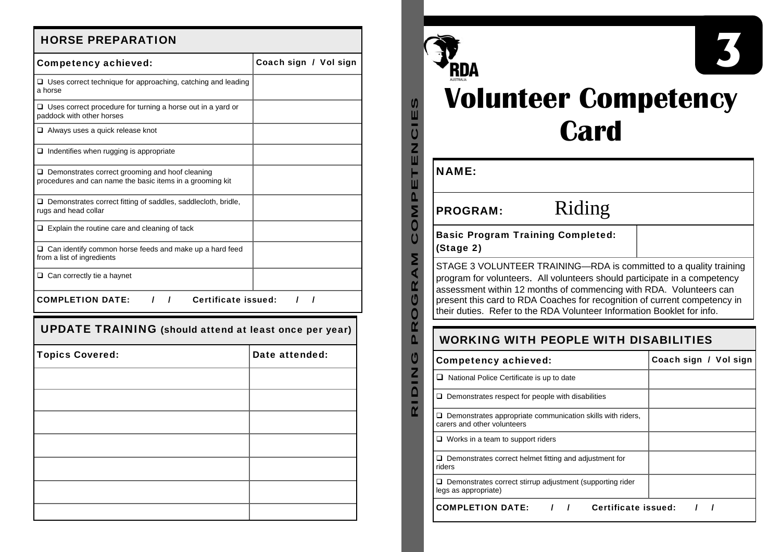# HORSE PREPARATION

| <b>Competency achieved:</b>                                                                                         | Coach sign / Vol sign |
|---------------------------------------------------------------------------------------------------------------------|-----------------------|
| $\Box$ Uses correct technique for approaching, catching and leading<br>a horse                                      |                       |
| $\Box$ Uses correct procedure for turning a horse out in a yard or<br>paddock with other horses                     |                       |
| $\Box$ Always uses a quick release knot                                                                             |                       |
| $\Box$ Indentifies when rugging is appropriate                                                                      |                       |
| $\Box$ Demonstrates correct grooming and hoof cleaning<br>procedures and can name the basic items in a grooming kit |                       |
| $\Box$ Demonstrates correct fitting of saddles, saddlecloth, bridle,<br>rugs and head collar                        |                       |
| $\Box$ Explain the routine care and cleaning of tack                                                                |                       |
| $\Box$ Can identify common horse feeds and make up a hard feed<br>from a list of ingredients                        |                       |
| $\Box$ Can correctly tie a haynet                                                                                   |                       |
| $1 \quad 1$<br>Certificate issued:<br><b>COMPLETION DATE:</b>                                                       | $1 \quad 1$           |
| <b>UPDATE TRAINING</b> (should attend at least once per year)                                                       |                       |
| <b>Topics Covered:</b>                                                                                              | Date attended:        |
|                                                                                                                     |                       |
|                                                                                                                     |                       |
|                                                                                                                     |                       |
|                                                                                                                     |                       |
|                                                                                                                     |                       |
|                                                                                                                     |                       |
|                                                                                                                     |                       |
|                                                                                                                     |                       |



| <b>Volunteer Competency</b> |  |
|-----------------------------|--|
| <b>Card</b>                 |  |

**3** 

| <b>NAME:</b>                                                              |                                                                                                                                                 |                       |
|---------------------------------------------------------------------------|-------------------------------------------------------------------------------------------------------------------------------------------------|-----------------------|
| <b>PROGRAM:</b>                                                           | Riding                                                                                                                                          |                       |
| <b>Basic Program Training Completed:</b><br>(Stage 2)                     |                                                                                                                                                 |                       |
| present this card to RDA Coaches for recognition of current competency in | program for volunteers. All volunteers should participate in a competency<br>assessment within 12 months of commencing with RDA. Volunteers can |                       |
|                                                                           | their duties. Refer to the RDA Volunteer Information Booklet for info.<br><b>WORKING WITH PEOPLE WITH DISABILITIES</b>                          |                       |
| <b>Competency achieved:</b>                                               |                                                                                                                                                 | Coach sign / Vol sign |
| $\Box$ National Police Certificate is up to date                          |                                                                                                                                                 |                       |
| $\Box$ Demonstrates respect for people with disabilities                  |                                                                                                                                                 |                       |
| carers and other volunteers                                               | $\square$ Demonstrates appropriate communication skills with riders,                                                                            |                       |
| $\Box$ Works in a team to support riders                                  |                                                                                                                                                 |                       |
| riders                                                                    | $\Box$ Demonstrates correct helmet fitting and adjustment for                                                                                   |                       |